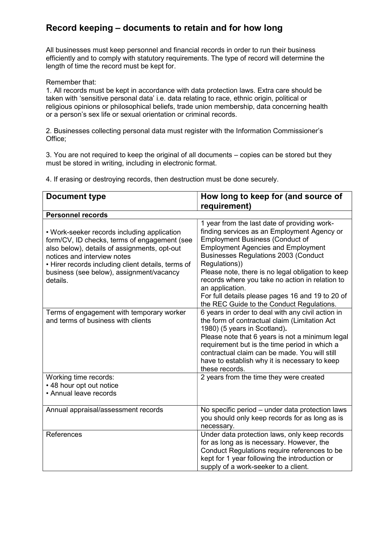## Record keeping – documents to retain and for how long

All businesses must keep personnel and financial records in order to run their business efficiently and to comply with statutory requirements. The type of record will determine the length of time the record must be kept for.

Remember that:

1. All records must be kept in accordance with data protection laws. Extra care should be taken with 'sensitive personal data' i.e. data relating to race, ethnic origin, political or religious opinions or philosophical beliefs, trade union membership, data concerning health or a person's sex life or sexual orientation or criminal records.

2. Businesses collecting personal data must register with the Information Commissioner's Office;

3. You are not required to keep the original of all documents – copies can be stored but they must be stored in writing, including in electronic format.

4. If erasing or destroying records, then destruction must be done securely.

| <b>Document type</b>                                                                                                                                                                                                                                                                     | How long to keep for (and source of<br>requirement)                                                                                                                                                                                                                                                                                                                                                                                                                            |
|------------------------------------------------------------------------------------------------------------------------------------------------------------------------------------------------------------------------------------------------------------------------------------------|--------------------------------------------------------------------------------------------------------------------------------------------------------------------------------------------------------------------------------------------------------------------------------------------------------------------------------------------------------------------------------------------------------------------------------------------------------------------------------|
| <b>Personnel records</b>                                                                                                                                                                                                                                                                 |                                                                                                                                                                                                                                                                                                                                                                                                                                                                                |
| • Work-seeker records including application<br>form/CV, ID checks, terms of engagement (see<br>also below), details of assignments, opt-out<br>notices and interview notes<br>• Hirer records including client details, terms of<br>business (see below), assignment/vacancy<br>details. | 1 year from the last date of providing work-<br>finding services as an Employment Agency or<br><b>Employment Business (Conduct of</b><br><b>Employment Agencies and Employment</b><br><b>Businesses Regulations 2003 (Conduct</b><br>Regulations))<br>Please note, there is no legal obligation to keep<br>records where you take no action in relation to<br>an application.<br>For full details please pages 16 and 19 to 20 of<br>the REC Guide to the Conduct Regulations. |
| Terms of engagement with temporary worker<br>and terms of business with clients                                                                                                                                                                                                          | 6 years in order to deal with any civil action in<br>the form of contractual claim (Limitation Act<br>1980) (5 years in Scotland).<br>Please note that 6 years is not a minimum legal<br>requirement but is the time period in which a<br>contractual claim can be made. You will still<br>have to establish why it is necessary to keep<br>these records.                                                                                                                     |
| Working time records:<br>• 48 hour opt out notice<br>• Annual leave records                                                                                                                                                                                                              | 2 years from the time they were created                                                                                                                                                                                                                                                                                                                                                                                                                                        |
| Annual appraisal/assessment records                                                                                                                                                                                                                                                      | No specific period - under data protection laws<br>you should only keep records for as long as is<br>necessary.                                                                                                                                                                                                                                                                                                                                                                |
| References                                                                                                                                                                                                                                                                               | Under data protection laws, only keep records<br>for as long as is necessary. However, the<br>Conduct Regulations require references to be<br>kept for 1 year following the introduction or<br>supply of a work-seeker to a client.                                                                                                                                                                                                                                            |